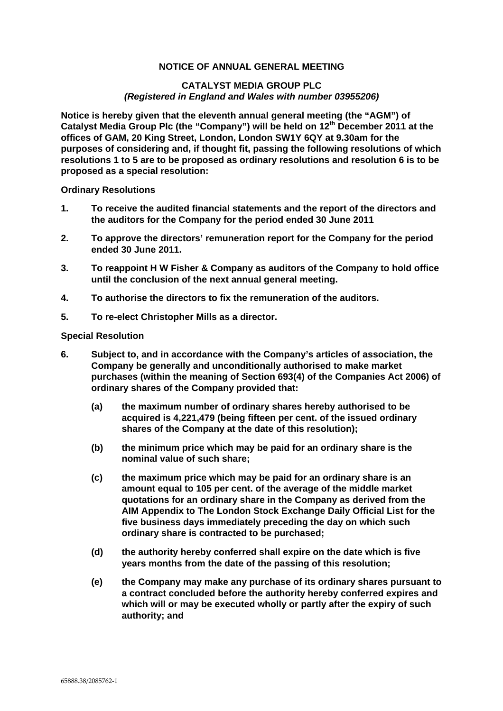## **NOTICE OF ANNUAL GENERAL MEETING**

## **CATALYST MEDIA GROUP PLC**  *(Registered in England and Wales with number 03955206)*

**Notice is hereby given that the eleventh annual general meeting (the "AGM") of**  Catalyst Media Group Plc (the "Company") will be held on 12<sup>th</sup> December 2011 at the **offices of GAM, 20 King Street, London, London SW1Y 6QY at 9.30am for the purposes of considering and, if thought fit, passing the following resolutions of which resolutions 1 to 5 are to be proposed as ordinary resolutions and resolution 6 is to be proposed as a special resolution:** 

**Ordinary Resolutions** 

- **1. To receive the audited financial statements and the report of the directors and the auditors for the Company for the period ended 30 June 2011**
- **2. To approve the directors' remuneration report for the Company for the period ended 30 June 2011.**
- **3. To reappoint H W Fisher & Company as auditors of the Company to hold office until the conclusion of the next annual general meeting.**
- **4. To authorise the directors to fix the remuneration of the auditors.**
- **5. To re-elect Christopher Mills as a director.**

## **Special Resolution**

- **6. Subject to, and in accordance with the Company's articles of association, the Company be generally and unconditionally authorised to make market purchases (within the meaning of Section 693(4) of the Companies Act 2006) of ordinary shares of the Company provided that:** 
	- **(a) the maximum number of ordinary shares hereby authorised to be acquired is 4,221,479 (being fifteen per cent. of the issued ordinary shares of the Company at the date of this resolution);**
	- **(b) the minimum price which may be paid for an ordinary share is the nominal value of such share;**
	- **(c) the maximum price which may be paid for an ordinary share is an amount equal to 105 per cent. of the average of the middle market quotations for an ordinary share in the Company as derived from the AIM Appendix to The London Stock Exchange Daily Official List for the five business days immediately preceding the day on which such ordinary share is contracted to be purchased;**
	- **(d) the authority hereby conferred shall expire on the date which is five years months from the date of the passing of this resolution;**
	- **(e) the Company may make any purchase of its ordinary shares pursuant to a contract concluded before the authority hereby conferred expires and which will or may be executed wholly or partly after the expiry of such authority; and**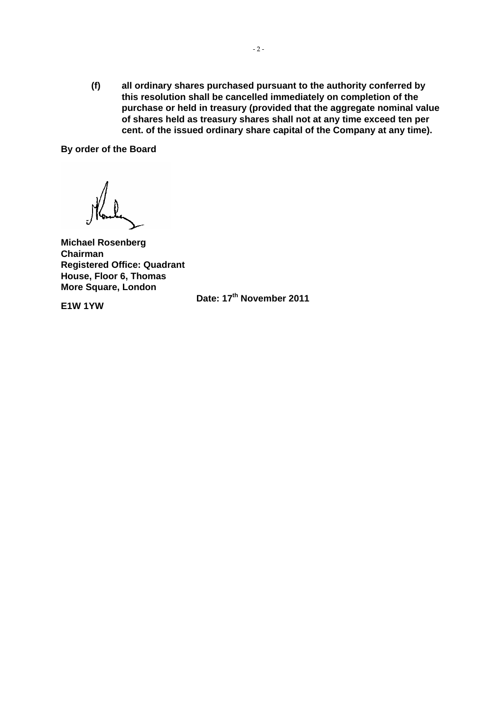**(f) all ordinary shares purchased pursuant to the authority conferred by this resolution shall be cancelled immediately on completion of the purchase or held in treasury (provided that the aggregate nominal value of shares held as treasury shares shall not at any time exceed ten per cent. of the issued ordinary share capital of the Company at any time).** 

**By order of the Board** 

**Michael Rosenberg Chairman Registered Office: Quadrant House, Floor 6, Thomas More Square, London** 

**E1W 1YW** 

**Date: 17th November 2011**